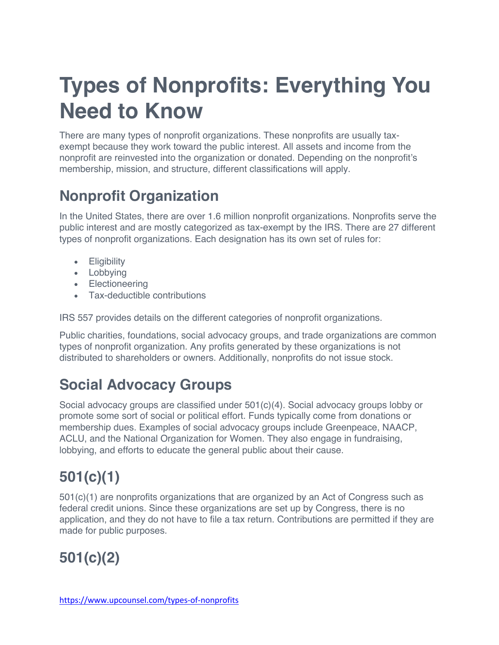# **Types of Nonprofits: Everything You Need to Know**

There are many types of nonprofit organizations. These nonprofits are usually taxexempt because they work toward the public interest. All assets and income from the nonprofit are reinvested into the organization or donated. Depending on the nonprofit's membership, mission, and structure, different classifications will apply.

#### **Nonprofit Organization**

In the United States, there are over 1.6 million nonprofit organizations. Nonprofits serve the public interest and are mostly categorized as tax-exempt by the IRS. There are 27 different types of nonprofit organizations. Each designation has its own set of rules for:

- Eligibility
- Lobbying
- Electioneering
- Tax-deductible contributions

IRS 557 provides details on the different categories of nonprofit organizations.

Public charities, foundations, social advocacy groups, and trade organizations are common types of nonprofit organization. Any profits generated by these organizations is not distributed to shareholders or owners. Additionally, nonprofits do not issue stock.

#### **Social Advocacy Groups**

Social advocacy groups are classified under 501(c)(4). Social advocacy groups lobby or promote some sort of social or political effort. Funds typically come from donations or membership dues. Examples of social advocacy groups include Greenpeace, NAACP, ACLU, and the National Organization for Women. They also engage in fundraising, lobbying, and efforts to educate the general public about their cause.

# **501(c)(1)**

501(c)(1) are nonprofits organizations that are organized by an Act of Congress such as federal credit unions. Since these organizations are set up by Congress, there is no application, and they do not have to file a tax return. Contributions are permitted if they are made for public purposes.

# **501(c)(2)**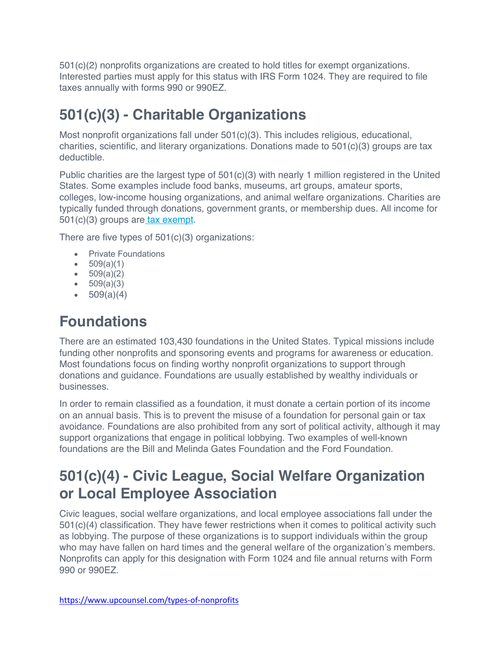501(c)(2) nonprofits organizations are created to hold titles for exempt organizations. Interested parties must apply for this status with IRS Form 1024. They are required to file taxes annually with forms 990 or 990EZ.

#### **501(c)(3) - Charitable Organizations**

Most nonprofit organizations fall under  $501(c)(3)$ . This includes religious, educational, charities, scientific, and literary organizations. Donations made to 501(c)(3) groups are tax deductible.

Public charities are the largest type of  $501(c)(3)$  with nearly 1 million registered in the United States. Some examples include food banks, museums, art groups, amateur sports, colleges, low-income housing organizations, and animal welfare organizations. Charities are typically funded through donations, government grants, or membership dues. All income for 501(c)(3) groups are tax exempt.

There are five types of 501(c)(3) organizations:

- Private Foundations
- $509(a)(1)$
- $509(a)(2)$
- $509(a)(3)$
- $509(a)(4)$

#### **Foundations**

There are an estimated 103,430 foundations in the United States. Typical missions include funding other nonprofits and sponsoring events and programs for awareness or education. Most foundations focus on finding worthy nonprofit organizations to support through donations and guidance. Foundations are usually established by wealthy individuals or businesses.

In order to remain classified as a foundation, it must donate a certain portion of its income on an annual basis. This is to prevent the misuse of a foundation for personal gain or tax avoidance. Foundations are also prohibited from any sort of political activity, although it may support organizations that engage in political lobbying. Two examples of well-known foundations are the Bill and Melinda Gates Foundation and the Ford Foundation.

#### **501(c)(4) - Civic League, Social Welfare Organization or Local Employee Association**

Civic leagues, social welfare organizations, and local employee associations fall under the 501(c)(4) classification. They have fewer restrictions when it comes to political activity such as lobbying. The purpose of these organizations is to support individuals within the group who may have fallen on hard times and the general welfare of the organization's members. Nonprofits can apply for this designation with Form 1024 and file annual returns with Form 990 or 990EZ.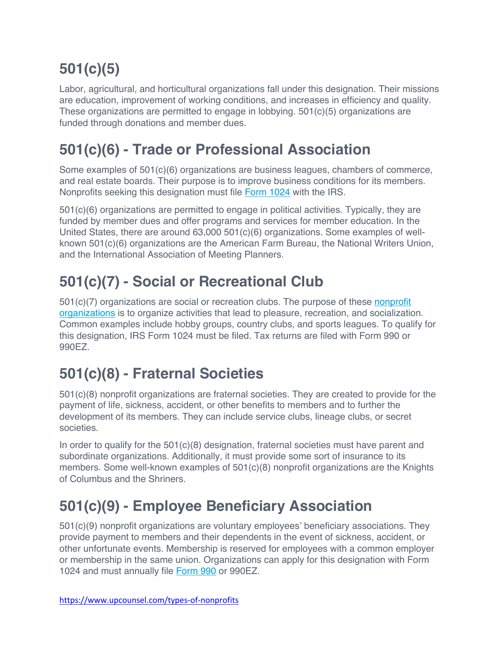# **501(c)(5)**

Labor, agricultural, and horticultural organizations fall under this designation. Their missions are education, improvement of working conditions, and increases in efficiency and quality. These organizations are permitted to engage in lobbying. 501(c)(5) organizations are funded through donations and member dues.

#### **501(c)(6) - Trade or Professional Association**

Some examples of 501(c)(6) organizations are business leagues, chambers of commerce, and real estate boards. Their purpose is to improve business conditions for its members. Nonprofits seeking this designation must file Form 1024 with the IRS.

501(c)(6) organizations are permitted to engage in political activities. Typically, they are funded by member dues and offer programs and services for member education. In the United States, there are around 63,000 501(c)(6) organizations. Some examples of wellknown 501(c)(6) organizations are the American Farm Bureau, the National Writers Union, and the International Association of Meeting Planners.

#### **501(c)(7) - Social or Recreational Club**

 $501(c)(7)$  organizations are social or recreation clubs. The purpose of these nonprofit organizations is to organize activities that lead to pleasure, recreation, and socialization. Common examples include hobby groups, country clubs, and sports leagues. To qualify for this designation, IRS Form 1024 must be filed. Tax returns are filed with Form 990 or 990EZ.

#### **501(c)(8) - Fraternal Societies**

501(c)(8) nonprofit organizations are fraternal societies. They are created to provide for the payment of life, sickness, accident, or other benefits to members and to further the development of its members. They can include service clubs, lineage clubs, or secret societies.

In order to qualify for the  $501(c)(8)$  designation, fraternal societies must have parent and subordinate organizations. Additionally, it must provide some sort of insurance to its members. Some well-known examples of 501(c)(8) nonprofit organizations are the Knights of Columbus and the Shriners.

#### **501(c)(9) - Employee Beneficiary Association**

501(c)(9) nonprofit organizations are voluntary employees' beneficiary associations. They provide payment to members and their dependents in the event of sickness, accident, or other unfortunate events. Membership is reserved for employees with a common employer or membership in the same union. Organizations can apply for this designation with Form 1024 and must annually file Form 990 or 990EZ.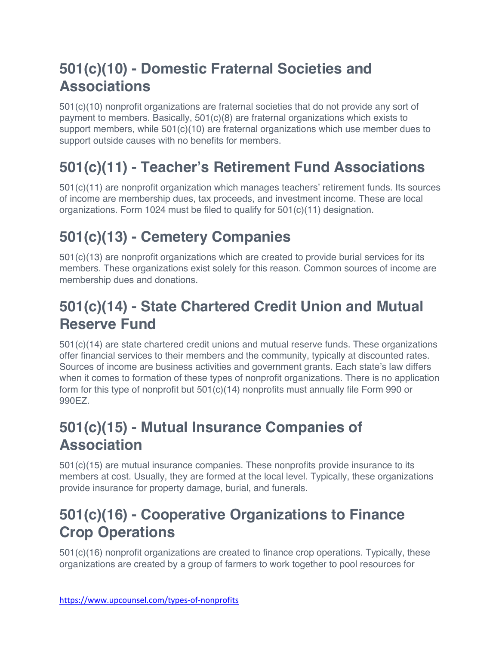#### **501(c)(10) - Domestic Fraternal Societies and Associations**

501(c)(10) nonprofit organizations are fraternal societies that do not provide any sort of payment to members. Basically,  $501(c)(8)$  are fraternal organizations which exists to support members, while  $501(c)(10)$  are fraternal organizations which use member dues to support outside causes with no benefits for members.

#### **501(c)(11) - Teacher's Retirement Fund Associations**

501(c)(11) are nonprofit organization which manages teachers' retirement funds. Its sources of income are membership dues, tax proceeds, and investment income. These are local organizations. Form 1024 must be filed to qualify for 501(c)(11) designation.

#### **501(c)(13) - Cemetery Companies**

501(c)(13) are nonprofit organizations which are created to provide burial services for its members. These organizations exist solely for this reason. Common sources of income are membership dues and donations.

#### **501(c)(14) - State Chartered Credit Union and Mutual Reserve Fund**

501(c)(14) are state chartered credit unions and mutual reserve funds. These organizations offer financial services to their members and the community, typically at discounted rates. Sources of income are business activities and government grants. Each state's law differs when it comes to formation of these types of nonprofit organizations. There is no application form for this type of nonprofit but 501(c)(14) nonprofits must annually file Form 990 or 990EZ.

#### **501(c)(15) - Mutual Insurance Companies of Association**

501(c)(15) are mutual insurance companies. These nonprofits provide insurance to its members at cost. Usually, they are formed at the local level. Typically, these organizations provide insurance for property damage, burial, and funerals.

#### **501(c)(16) - Cooperative Organizations to Finance Crop Operations**

501(c)(16) nonprofit organizations are created to finance crop operations. Typically, these organizations are created by a group of farmers to work together to pool resources for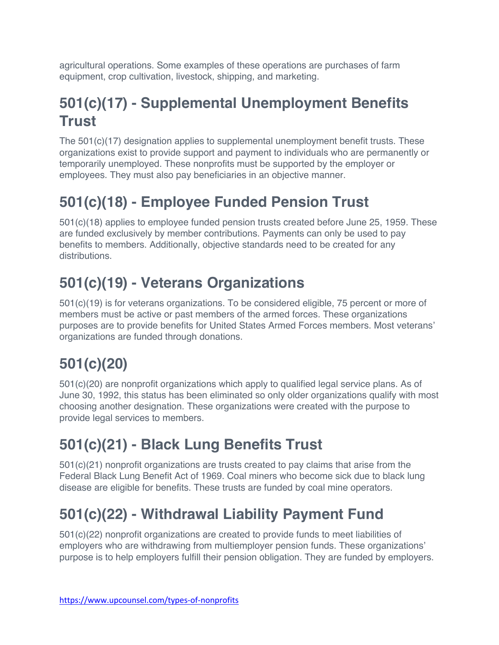agricultural operations. Some examples of these operations are purchases of farm equipment, crop cultivation, livestock, shipping, and marketing.

#### **501(c)(17) - Supplemental Unemployment Benefits Trust**

The 501(c)(17) designation applies to supplemental unemployment benefit trusts. These organizations exist to provide support and payment to individuals who are permanently or temporarily unemployed. These nonprofits must be supported by the employer or employees. They must also pay beneficiaries in an objective manner.

# **501(c)(18) - Employee Funded Pension Trust**

501(c)(18) applies to employee funded pension trusts created before June 25, 1959. These are funded exclusively by member contributions. Payments can only be used to pay benefits to members. Additionally, objective standards need to be created for any distributions.

# **501(c)(19) - Veterans Organizations**

501(c)(19) is for veterans organizations. To be considered eligible, 75 percent or more of members must be active or past members of the armed forces. These organizations purposes are to provide benefits for United States Armed Forces members. Most veterans' organizations are funded through donations.

# **501(c)(20)**

501(c)(20) are nonprofit organizations which apply to qualified legal service plans. As of June 30, 1992, this status has been eliminated so only older organizations qualify with most choosing another designation. These organizations were created with the purpose to provide legal services to members.

#### **501(c)(21) - Black Lung Benefits Trust**

501(c)(21) nonprofit organizations are trusts created to pay claims that arise from the Federal Black Lung Benefit Act of 1969. Coal miners who become sick due to black lung disease are eligible for benefits. These trusts are funded by coal mine operators.

#### **501(c)(22) - Withdrawal Liability Payment Fund**

501(c)(22) nonprofit organizations are created to provide funds to meet liabilities of employers who are withdrawing from multiemployer pension funds. These organizations' purpose is to help employers fulfill their pension obligation. They are funded by employers.